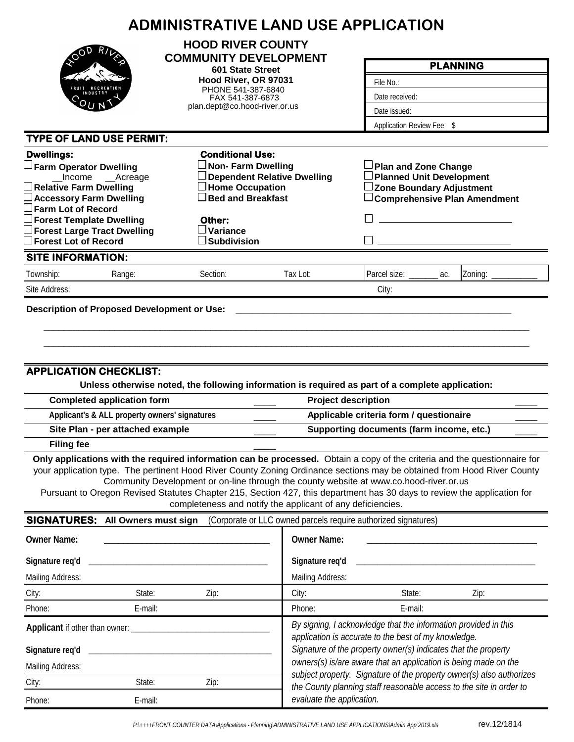|                                                                                                        |         | <b>HOOD RIVER COUNTY</b>                                   |                                                                                                                                                                                                                  |                                                                                                                         |                                                                                                                                                                                                                                                    |  |  |  |  |  |  |
|--------------------------------------------------------------------------------------------------------|---------|------------------------------------------------------------|------------------------------------------------------------------------------------------------------------------------------------------------------------------------------------------------------------------|-------------------------------------------------------------------------------------------------------------------------|----------------------------------------------------------------------------------------------------------------------------------------------------------------------------------------------------------------------------------------------------|--|--|--|--|--|--|
| OD                                                                                                     |         | <b>COMMUNITY DEVELOPMENT</b><br>601 State Street           |                                                                                                                                                                                                                  | <b>PLANNING</b>                                                                                                         |                                                                                                                                                                                                                                                    |  |  |  |  |  |  |
|                                                                                                        |         | Hood River, OR 97031                                       |                                                                                                                                                                                                                  | File No.:                                                                                                               |                                                                                                                                                                                                                                                    |  |  |  |  |  |  |
|                                                                                                        |         | PHONE 541-387-6840<br>FAX 541-387-6873                     |                                                                                                                                                                                                                  | Date received:                                                                                                          |                                                                                                                                                                                                                                                    |  |  |  |  |  |  |
|                                                                                                        |         | plan.dept@co.hood-river.or.us                              |                                                                                                                                                                                                                  | Date issued:                                                                                                            |                                                                                                                                                                                                                                                    |  |  |  |  |  |  |
|                                                                                                        |         |                                                            |                                                                                                                                                                                                                  | Application Review Fee \$                                                                                               |                                                                                                                                                                                                                                                    |  |  |  |  |  |  |
| <b>TYPE OF LAND USE PERMIT:</b>                                                                        |         |                                                            |                                                                                                                                                                                                                  |                                                                                                                         |                                                                                                                                                                                                                                                    |  |  |  |  |  |  |
| <b>Dwellings:</b>                                                                                      |         | <b>Conditional Use:</b>                                    |                                                                                                                                                                                                                  |                                                                                                                         |                                                                                                                                                                                                                                                    |  |  |  |  |  |  |
| $\Box$ Farm Operator Dwelling                                                                          |         |                                                            |                                                                                                                                                                                                                  | <b>JPlan and Zone Change</b>                                                                                            |                                                                                                                                                                                                                                                    |  |  |  |  |  |  |
| Income ___ Acreage<br>$\lrcorner$ Relative Farm Dwelling                                               |         | $\Box$ Home Occupation                                     | JDependent Relative Dwelling                                                                                                                                                                                     | Planned Unit Development<br><b>Zone Boundary Adjustment</b>                                                             |                                                                                                                                                                                                                                                    |  |  |  |  |  |  |
| $\Box$ Accessory Farm Dwelling                                                                         |         | $\Box$ Bed and Breakfast                                   |                                                                                                                                                                                                                  |                                                                                                                         |                                                                                                                                                                                                                                                    |  |  |  |  |  |  |
| Farm Lot of Record                                                                                     |         |                                                            |                                                                                                                                                                                                                  |                                                                                                                         |                                                                                                                                                                                                                                                    |  |  |  |  |  |  |
| <b>Forest Template Dwelling</b><br><b>Forest Large Tract Dwelling</b>                                  |         | Other:<br>$\lrcorner$ Variance                             |                                                                                                                                                                                                                  |                                                                                                                         |                                                                                                                                                                                                                                                    |  |  |  |  |  |  |
| $\Box$ Forest Lot of Record                                                                            |         | Subdivision                                                |                                                                                                                                                                                                                  |                                                                                                                         |                                                                                                                                                                                                                                                    |  |  |  |  |  |  |
| <b>SITE INFORMATION:</b>                                                                               |         |                                                            |                                                                                                                                                                                                                  |                                                                                                                         |                                                                                                                                                                                                                                                    |  |  |  |  |  |  |
| Township:<br>Range:                                                                                    |         | Section:                                                   | Tax Lot:                                                                                                                                                                                                         | Parcel size:                                                                                                            | Zoning: _<br>ac.                                                                                                                                                                                                                                   |  |  |  |  |  |  |
| Site Address:                                                                                          |         |                                                            |                                                                                                                                                                                                                  | City:                                                                                                                   |                                                                                                                                                                                                                                                    |  |  |  |  |  |  |
| Applicant's & ALL property owners' signatures<br>Site Plan - per attached example<br><b>Filing fee</b> |         |                                                            | Applicable criteria form / questionaire<br>Supporting documents (farm income, etc.)<br>Only applications with the required information can be processed. Obtain a copy of the criteria and the questionnaire for |                                                                                                                         |                                                                                                                                                                                                                                                    |  |  |  |  |  |  |
|                                                                                                        |         | completeness and notify the applicant of any deficiencies. |                                                                                                                                                                                                                  | Community Development or on-line through the county website at www.co.hood-river.or.us                                  | your application type. The pertinent Hood River County Zoning Ordinance sections may be obtained from Hood River County<br>Pursuant to Oregon Revised Statutes Chapter 215, Section 427, this department has 30 days to review the application for |  |  |  |  |  |  |
| <b>SIGNATURES:</b> All Owners must sign                                                                |         |                                                            |                                                                                                                                                                                                                  | (Corporate or LLC owned parcels require authorized signatures)                                                          |                                                                                                                                                                                                                                                    |  |  |  |  |  |  |
| <b>Owner Name:</b>                                                                                     |         |                                                            | <b>Owner Name:</b>                                                                                                                                                                                               |                                                                                                                         |                                                                                                                                                                                                                                                    |  |  |  |  |  |  |
| Signature req'd                                                                                        |         |                                                            |                                                                                                                                                                                                                  |                                                                                                                         |                                                                                                                                                                                                                                                    |  |  |  |  |  |  |
| Mailing Address:                                                                                       |         |                                                            | Signature req'd                                                                                                                                                                                                  |                                                                                                                         |                                                                                                                                                                                                                                                    |  |  |  |  |  |  |
| City:                                                                                                  | State:  |                                                            | Mailing Address:                                                                                                                                                                                                 |                                                                                                                         |                                                                                                                                                                                                                                                    |  |  |  |  |  |  |
|                                                                                                        |         | Zip:                                                       | City:                                                                                                                                                                                                            | State:                                                                                                                  | Zip:                                                                                                                                                                                                                                               |  |  |  |  |  |  |
|                                                                                                        | E-mail: |                                                            | Phone:                                                                                                                                                                                                           | E-mail:                                                                                                                 |                                                                                                                                                                                                                                                    |  |  |  |  |  |  |
| Phone:                                                                                                 |         |                                                            |                                                                                                                                                                                                                  | By signing, I acknowledge that the information provided in this<br>application is accurate to the best of my knowledge. |                                                                                                                                                                                                                                                    |  |  |  |  |  |  |
| Signature req'd                                                                                        |         |                                                            |                                                                                                                                                                                                                  | Signature of the property owner(s) indicates that the property                                                          |                                                                                                                                                                                                                                                    |  |  |  |  |  |  |
|                                                                                                        |         |                                                            |                                                                                                                                                                                                                  | owners(s) is/are aware that an application is being made on the                                                         | subject property. Signature of the property owner(s) also authorizes                                                                                                                                                                               |  |  |  |  |  |  |
| Mailing Address:<br>City:                                                                              | State:  | Zip:                                                       |                                                                                                                                                                                                                  |                                                                                                                         | the County planning staff reasonable access to the site in order to                                                                                                                                                                                |  |  |  |  |  |  |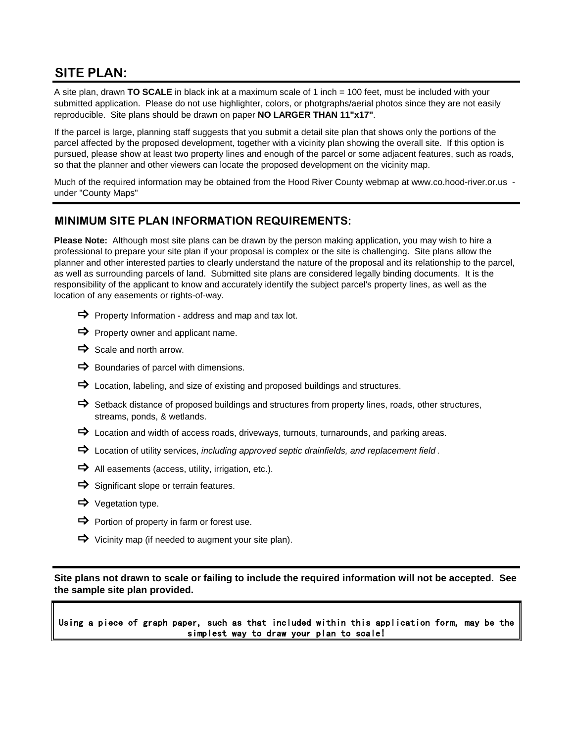## **SITE PLAN:**

A site plan, drawn **TO SCALE** in black ink at a maximum scale of 1 inch = 100 feet, must be included with your submitted application. Please do not use highlighter, colors, or photgraphs/aerial photos since they are not easily reproducible. Site plans should be drawn on paper **NO LARGER THAN 11"x17"**.

If the parcel is large, planning staff suggests that you submit a detail site plan that shows only the portions of the parcel affected by the proposed development, together with a vicinity plan showing the overall site. If this option is pursued, please show at least two property lines and enough of the parcel or some adjacent features, such as roads, so that the planner and other viewers can locate the proposed development on the vicinity map.

Much of the required information may be obtained from the Hood River County webmap at www.co.hood-river.or.us under "County Maps"

## **MINIMUM SITE PLAN INFORMATION REQUIREMENTS:**

**Please Note:** Although most site plans can be drawn by the person making application, you may wish to hire a professional to prepare your site plan if your proposal is complex or the site is challenging. Site plans allow the planner and other interested parties to clearly understand the nature of the proposal and its relationship to the parcel, as well as surrounding parcels of land. Submitted site plans are considered legally binding documents. It is the responsibility of the applicant to know and accurately identify the subject parcel's property lines, as well as the location of any easements or rights-of-way.

- $\Rightarrow$  Property Information address and map and tax lot.
- $\Rightarrow$  Property owner and applicant name.
- $\Rightarrow$  Scale and north arrow.
- $\Rightarrow$  Boundaries of parcel with dimensions.
- $\Rightarrow$  Location, labeling, and size of existing and proposed buildings and structures.
- $\Rightarrow$  Setback distance of proposed buildings and structures from property lines, roads, other structures, streams, ponds, & wetlands.
- $\Rightarrow$  Location and width of access roads, driveways, turnouts, turnarounds, and parking areas.
- Location of utility services, *including approved septic drainfields, and replacement field* .
- $\Rightarrow$  All easements (access, utility, irrigation, etc.).
- $\Rightarrow$  Significant slope or terrain features.
- $\Rightarrow$  Vegetation type.
- $\Rightarrow$  Portion of property in farm or forest use.
- $\Rightarrow$  Vicinity map (if needed to augment your site plan).

**Site plans not drawn to scale or failing to include the required information will not be accepted. See the sample site plan provided.**

Using a piece of graph paper, such as that included within this application form, may be the simplest way to draw your plan to scale!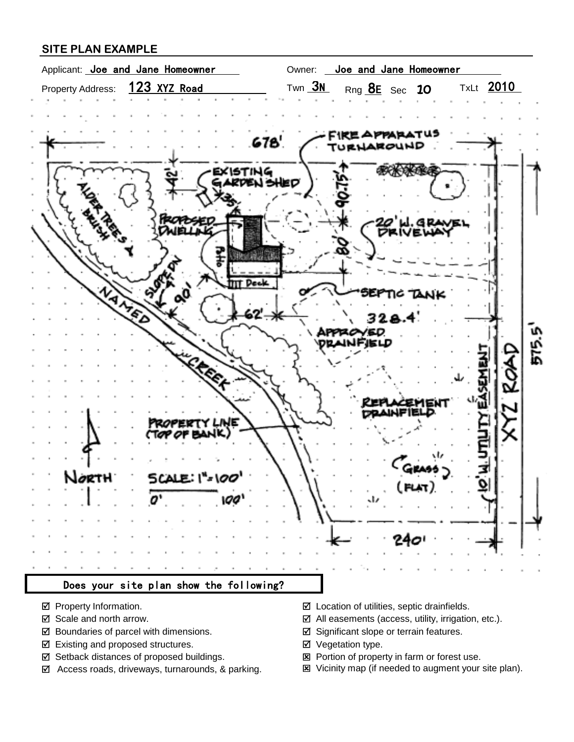## **SITE PLAN EXAMPLE**



- 
- 
- $\boxtimes$  Boundaries of parcel with dimensions.  $\boxtimes$  Significant slope or terrain features.
- Existing and proposed structures. ■ Vegetation type.
- $\boxtimes$  Setback distances of proposed buildings.  $\boxtimes$  Portion of property in farm or forest use.
- 
- Property Information. The Contraction of utilities, septic drainfields.
- $\boxtimes$  Scale and north arrow.  $\boxtimes$  All easements (access, utility, irrigation, etc.).
	-
	-
	-
- Access roads, driveways, turnarounds, & parking. Vicinity map (if needed to augment your site plan).